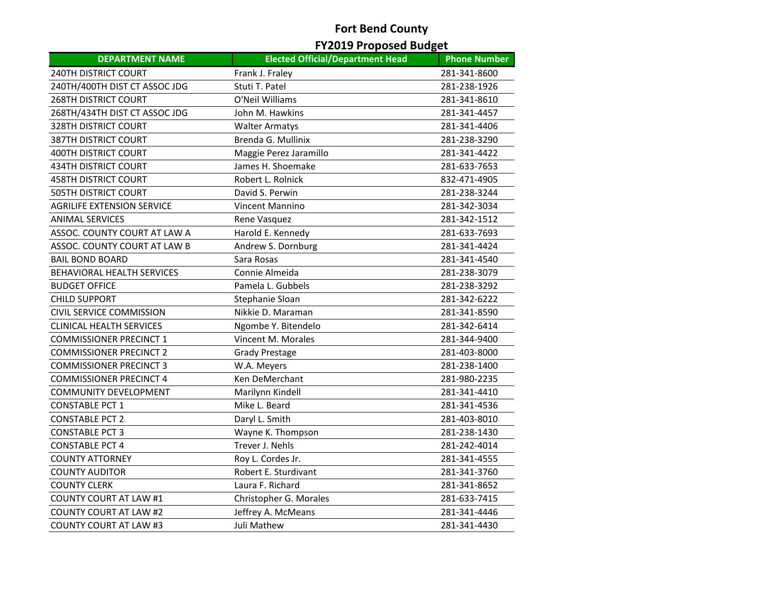# **Fort Bend County**

# **FY2019 Proposed Budget**

| <b>DEPARTMENT NAME</b>            | <b>Elected Official/Department Head</b> | <b>Phone Number</b> |
|-----------------------------------|-----------------------------------------|---------------------|
| <b>240TH DISTRICT COURT</b>       | Frank J. Fraley                         | 281-341-8600        |
| 240TH/400TH DIST CT ASSOC JDG     | Stuti T. Patel                          | 281-238-1926        |
| <b>268TH DISTRICT COURT</b>       | O'Neil Williams                         | 281-341-8610        |
| 268TH/434TH DIST CT ASSOC JDG     | John M. Hawkins                         | 281-341-4457        |
| <b>328TH DISTRICT COURT</b>       | <b>Walter Armatys</b>                   | 281-341-4406        |
| <b>387TH DISTRICT COURT</b>       | Brenda G. Mullinix                      | 281-238-3290        |
| <b>400TH DISTRICT COURT</b>       | Maggie Perez Jaramillo                  | 281-341-4422        |
| <b>434TH DISTRICT COURT</b>       | James H. Shoemake                       | 281-633-7653        |
| <b>458TH DISTRICT COURT</b>       | Robert L. Rolnick                       | 832-471-4905        |
| <b>505TH DISTRICT COURT</b>       | David S. Perwin                         | 281-238-3244        |
| <b>AGRILIFE EXTENSION SERVICE</b> | Vincent Mannino                         | 281-342-3034        |
| <b>ANIMAL SERVICES</b>            | Rene Vasquez                            | 281-342-1512        |
| ASSOC. COUNTY COURT AT LAW A      | Harold E. Kennedy                       | 281-633-7693        |
| ASSOC. COUNTY COURT AT LAW B      | Andrew S. Dornburg                      | 281-341-4424        |
| <b>BAIL BOND BOARD</b>            | Sara Rosas                              | 281-341-4540        |
| <b>BEHAVIORAL HEALTH SERVICES</b> | Connie Almeida                          | 281-238-3079        |
| <b>BUDGET OFFICE</b>              | Pamela L. Gubbels                       | 281-238-3292        |
| <b>CHILD SUPPORT</b>              | Stephanie Sloan                         | 281-342-6222        |
| CIVIL SERVICE COMMISSION          | Nikkie D. Maraman                       | 281-341-8590        |
| <b>CLINICAL HEALTH SERVICES</b>   | Ngombe Y. Bitendelo                     | 281-342-6414        |
| <b>COMMISSIONER PRECINCT 1</b>    | Vincent M. Morales                      | 281-344-9400        |
| <b>COMMISSIONER PRECINCT 2</b>    | <b>Grady Prestage</b>                   | 281-403-8000        |
| <b>COMMISSIONER PRECINCT 3</b>    | W.A. Meyers                             | 281-238-1400        |
| <b>COMMISSIONER PRECINCT 4</b>    | Ken DeMerchant                          | 281-980-2235        |
| <b>COMMUNITY DEVELOPMENT</b>      | Marilynn Kindell                        | 281-341-4410        |
| <b>CONSTABLE PCT 1</b>            | Mike L. Beard                           | 281-341-4536        |
| <b>CONSTABLE PCT 2</b>            | Daryl L. Smith                          | 281-403-8010        |
| <b>CONSTABLE PCT 3</b>            | Wayne K. Thompson                       | 281-238-1430        |
| <b>CONSTABLE PCT 4</b>            | Trever J. Nehls                         | 281-242-4014        |
| <b>COUNTY ATTORNEY</b>            | Roy L. Cordes Jr.                       | 281-341-4555        |
| <b>COUNTY AUDITOR</b>             | Robert E. Sturdivant                    | 281-341-3760        |
| <b>COUNTY CLERK</b>               | Laura F. Richard                        | 281-341-8652        |
| <b>COUNTY COURT AT LAW #1</b>     | Christopher G. Morales                  | 281-633-7415        |
| <b>COUNTY COURT AT LAW #2</b>     | Jeffrey A. McMeans                      | 281-341-4446        |
| <b>COUNTY COURT AT LAW #3</b>     | Juli Mathew                             | 281-341-4430        |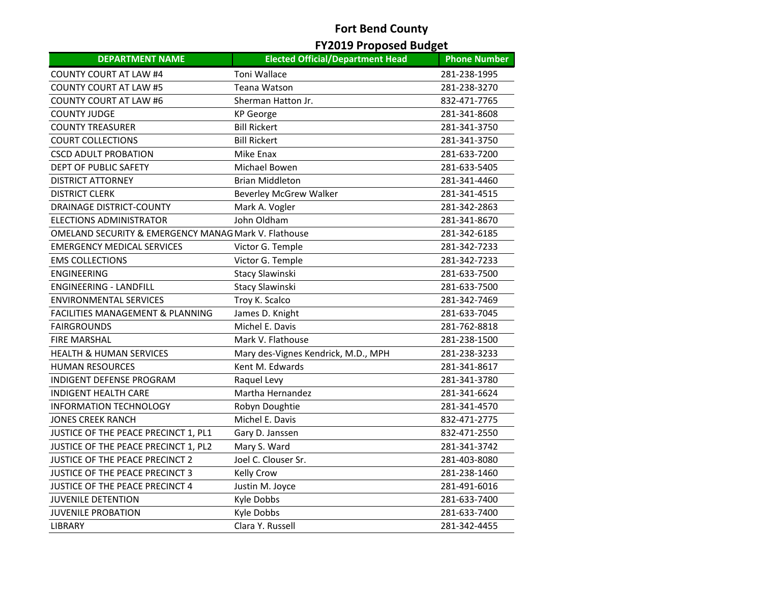# **Fort Bend County**

# **FY2019 Proposed Budget**

| <b>DEPARTMENT NAME</b>                                          | <b>Elected Official/Department Head</b> | <b>Phone Number</b> |
|-----------------------------------------------------------------|-----------------------------------------|---------------------|
| <b>COUNTY COURT AT LAW #4</b>                                   | <b>Toni Wallace</b>                     | 281-238-1995        |
| <b>COUNTY COURT AT LAW #5</b>                                   | Teana Watson                            | 281-238-3270        |
| <b>COUNTY COURT AT LAW #6</b>                                   | Sherman Hatton Jr.                      | 832-471-7765        |
| <b>COUNTY JUDGE</b>                                             | <b>KP</b> George                        | 281-341-8608        |
| <b>COUNTY TREASURER</b>                                         | <b>Bill Rickert</b>                     | 281-341-3750        |
| <b>COURT COLLECTIONS</b>                                        | <b>Bill Rickert</b>                     | 281-341-3750        |
| <b>CSCD ADULT PROBATION</b>                                     | Mike Enax                               | 281-633-7200        |
| DEPT OF PUBLIC SAFETY                                           | Michael Bowen                           | 281-633-5405        |
| <b>DISTRICT ATTORNEY</b>                                        | <b>Brian Middleton</b>                  | 281-341-4460        |
| <b>DISTRICT CLERK</b>                                           | <b>Beverley McGrew Walker</b>           | 281-341-4515        |
| <b>DRAINAGE DISTRICT-COUNTY</b>                                 | Mark A. Vogler                          | 281-342-2863        |
| <b>ELECTIONS ADMINISTRATOR</b>                                  | John Oldham                             | 281-341-8670        |
| <b>OMELAND SECURITY &amp; EMERGENCY MANAG Mark V. Flathouse</b> |                                         | 281-342-6185        |
| <b>EMERGENCY MEDICAL SERVICES</b>                               | Victor G. Temple                        | 281-342-7233        |
| <b>EMS COLLECTIONS</b>                                          | Victor G. Temple                        | 281-342-7233        |
| <b>ENGINEERING</b>                                              | Stacy Slawinski                         | 281-633-7500        |
| <b>ENGINEERING - LANDFILL</b>                                   | Stacy Slawinski                         | 281-633-7500        |
| <b>ENVIRONMENTAL SERVICES</b>                                   | Troy K. Scalco                          | 281-342-7469        |
| <b>FACILITIES MANAGEMENT &amp; PLANNING</b>                     | James D. Knight                         | 281-633-7045        |
| <b>FAIRGROUNDS</b>                                              | Michel E. Davis                         | 281-762-8818        |
| <b>FIRE MARSHAL</b>                                             | Mark V. Flathouse                       | 281-238-1500        |
| <b>HEALTH &amp; HUMAN SERVICES</b>                              | Mary des-Vignes Kendrick, M.D., MPH     | 281-238-3233        |
| <b>HUMAN RESOURCES</b>                                          | Kent M. Edwards                         | 281-341-8617        |
| <b>INDIGENT DEFENSE PROGRAM</b>                                 | Raquel Levy                             | 281-341-3780        |
| <b>INDIGENT HEALTH CARE</b>                                     | Martha Hernandez                        | 281-341-6624        |
| <b>INFORMATION TECHNOLOGY</b>                                   | Robyn Doughtie                          | 281-341-4570        |
| <b>JONES CREEK RANCH</b>                                        | Michel E. Davis                         | 832-471-2775        |
| JUSTICE OF THE PEACE PRECINCT 1, PL1                            | Gary D. Janssen                         | 832-471-2550        |
| JUSTICE OF THE PEACE PRECINCT 1, PL2                            | Mary S. Ward                            | 281-341-3742        |
| JUSTICE OF THE PEACE PRECINCT 2                                 | Joel C. Clouser Sr.                     | 281-403-8080        |
| <b>JUSTICE OF THE PEACE PRECINCT 3</b>                          | Kelly Crow                              | 281-238-1460        |
| JUSTICE OF THE PEACE PRECINCT 4                                 | Justin M. Joyce                         | 281-491-6016        |
| <b>JUVENILE DETENTION</b>                                       | Kyle Dobbs                              | 281-633-7400        |
| <b>JUVENILE PROBATION</b>                                       | Kyle Dobbs                              | 281-633-7400        |
| LIBRARY                                                         | Clara Y. Russell                        | 281-342-4455        |